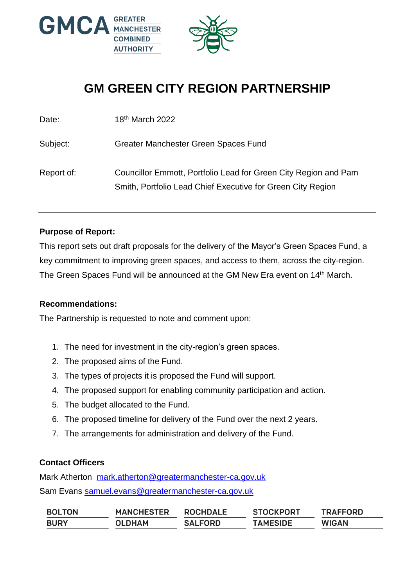

# **GM GREEN CITY REGION PARTNERSHIP**

| Date:      | 18th March 2022                                                                                                                |
|------------|--------------------------------------------------------------------------------------------------------------------------------|
| Subject:   | Greater Manchester Green Spaces Fund                                                                                           |
| Report of: | Councillor Emmott, Portfolio Lead for Green City Region and Pam<br>Smith, Portfolio Lead Chief Executive for Green City Region |

#### **Purpose of Report:**

This report sets out draft proposals for the delivery of the Mayor's Green Spaces Fund, a key commitment to improving green spaces, and access to them, across the city-region. The Green Spaces Fund will be announced at the GM New Era event on 14<sup>th</sup> March.

#### **Recommendations:**

The Partnership is requested to note and comment upon:

- 1. The need for investment in the city-region's green spaces.
- 2. The proposed aims of the Fund.
- 3. The types of projects it is proposed the Fund will support.
- 4. The proposed support for enabling community participation and action.
- 5. The budget allocated to the Fund.
- 6. The proposed timeline for delivery of the Fund over the next 2 years.
- 7. The arrangements for administration and delivery of the Fund.

#### **Contact Officers**

Mark Atherton [mark.atherton@greatermanchester-ca.gov.uk](mailto:mark.atherton@greatermanchester-ca.gov.uk) Sam Evans [samuel.evans@greatermanchester-ca.gov.uk](mailto:samuel.evans@greatermanchester-ca.gov.uk)

| <b>BOLTON</b> | <b>MANCHESTER</b> | <b>ROCHDALE</b> | <b>STOCKPORT</b> | <b>TRAFFORD</b> |
|---------------|-------------------|-----------------|------------------|-----------------|
| <b>BURY</b>   | <b>OLDHAM</b>     | <b>SALFORD</b>  | <b>TAMESIDE</b>  | <b>WIGAN</b>    |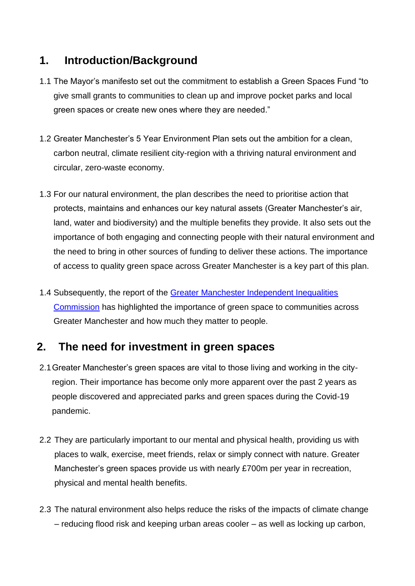#### **1. Introduction/Background**

- 1.1 The Mayor's manifesto set out the commitment to establish a Green Spaces Fund "to give small grants to communities to clean up and improve pocket parks and local green spaces or create new ones where they are needed."
- 1.2 Greater Manchester's 5 Year Environment Plan sets out the ambition for a clean, carbon neutral, climate resilient city-region with a thriving natural environment and circular, zero-waste economy.
- 1.3 For our natural environment, the plan describes the need to prioritise action that protects, maintains and enhances our key natural assets (Greater Manchester's air, land, water and biodiversity) and the multiple benefits they provide. It also sets out the importance of both engaging and connecting people with their natural environment and the need to bring in other sources of funding to deliver these actions. The importance of access to quality green space across Greater Manchester is a key part of this plan.
- 1.4 Subsequently, the report of the Greater Manchester Independent Inequalities [Commission](https://www.greatermanchester-ca.gov.uk/what-we-do/equalities/independent-inequalities-commission/) has highlighted the importance of green space to communities across Greater Manchester and how much they matter to people.

#### **2. The need for investment in green spaces**

- 2.1Greater Manchester's green spaces are vital to those living and working in the cityregion. Their importance has become only more apparent over the past 2 years as people discovered and appreciated parks and green spaces during the Covid-19 pandemic.
- 2.2 They are particularly important to our mental and physical health, providing us with places to walk, exercise, meet friends, relax or simply connect with nature. Greater Manchester's green spaces provide us with nearly £700m per year in recreation, physical and mental health benefits.
- 2.3 The natural environment also helps reduce the risks of the impacts of climate change – reducing flood risk and keeping urban areas cooler – as well as locking up carbon,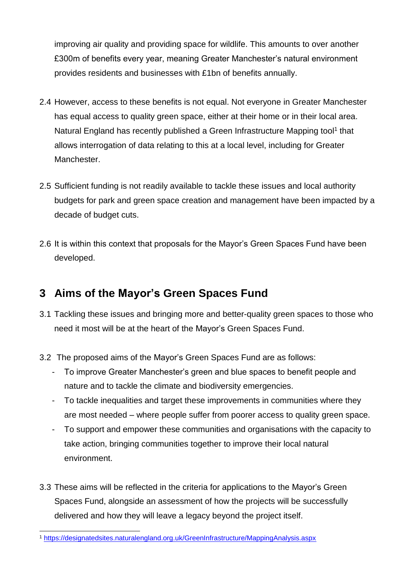improving air quality and providing space for wildlife. This amounts to over another £300m of benefits every year, meaning Greater Manchester's natural environment provides residents and businesses with £1bn of benefits annually.

- 2.4 However, access to these benefits is not equal. Not everyone in Greater Manchester has equal access to quality green space, either at their home or in their local area. Natural England has recently published a Green Infrastructure Mapping tool<sup>1</sup> that allows interrogation of data relating to this at a local level, including for Greater Manchester.
- 2.5 Sufficient funding is not readily available to tackle these issues and local authority budgets for park and green space creation and management have been impacted by a decade of budget cuts.
- 2.6 It is within this context that proposals for the Mayor's Green Spaces Fund have been developed.

#### **3 Aims of the Mayor's Green Spaces Fund**

- 3.1 Tackling these issues and bringing more and better-quality green spaces to those who need it most will be at the heart of the Mayor's Green Spaces Fund.
- 3.2 The proposed aims of the Mayor's Green Spaces Fund are as follows:
	- To improve Greater Manchester's green and blue spaces to benefit people and nature and to tackle the climate and biodiversity emergencies.
	- To tackle inequalities and target these improvements in communities where they are most needed – where people suffer from poorer access to quality green space.
	- To support and empower these communities and organisations with the capacity to take action, bringing communities together to improve their local natural environment.
- 3.3 These aims will be reflected in the criteria for applications to the Mayor's Green Spaces Fund, alongside an assessment of how the projects will be successfully delivered and how they will leave a legacy beyond the project itself.

<sup>-</sup><sup>1</sup> <https://designatedsites.naturalengland.org.uk/GreenInfrastructure/MappingAnalysis.aspx>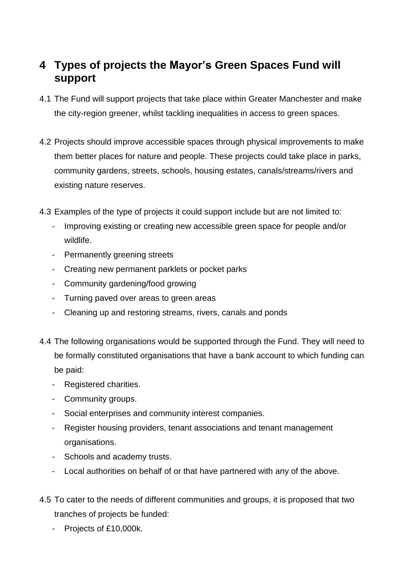#### **4 Types of projects the Mayor's Green Spaces Fund will support**

- 4.1 The Fund will support projects that take place within Greater Manchester and make the city-region greener, whilst tackling inequalities in access to green spaces.
- 4.2 Projects should improve accessible spaces through physical improvements to make them better places for nature and people. These projects could take place in parks, community gardens, streets, schools, housing estates, canals/streams/rivers and existing nature reserves.
- 4.3 Examples of the type of projects it could support include but are not limited to:
	- Improving existing or creating new accessible green space for people and/or wildlife.
	- Permanently greening streets
	- Creating new permanent parklets or pocket parks
	- Community gardening/food growing
	- Turning paved over areas to green areas
	- Cleaning up and restoring streams, rivers, canals and ponds
- 4.4 The following organisations would be supported through the Fund. They will need to be formally constituted organisations that have a bank account to which funding can be paid:
	- Registered charities.
	- Community groups.
	- Social enterprises and community interest companies.
	- Register housing providers, tenant associations and tenant management organisations.
	- Schools and academy trusts.
	- Local authorities on behalf of or that have partnered with any of the above.
- 4.5 To cater to the needs of different communities and groups, it is proposed that two tranches of projects be funded:
	- Projects of £10,000k.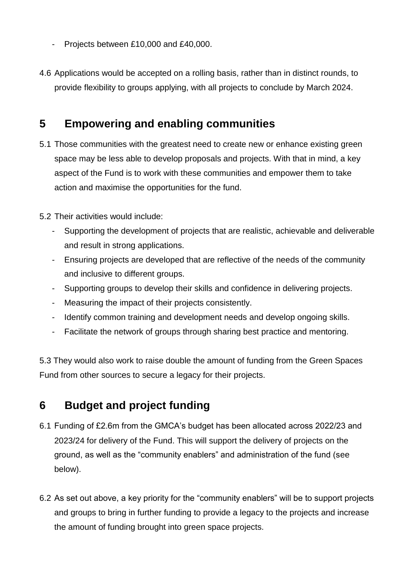- Projects between £10,000 and £40,000.
- 4.6 Applications would be accepted on a rolling basis, rather than in distinct rounds, to provide flexibility to groups applying, with all projects to conclude by March 2024.

#### **5 Empowering and enabling communities**

5.1 Those communities with the greatest need to create new or enhance existing green space may be less able to develop proposals and projects. With that in mind, a key aspect of the Fund is to work with these communities and empower them to take action and maximise the opportunities for the fund.

5.2 Their activities would include:

- Supporting the development of projects that are realistic, achievable and deliverable and result in strong applications.
- Ensuring projects are developed that are reflective of the needs of the community and inclusive to different groups.
- Supporting groups to develop their skills and confidence in delivering projects.
- Measuring the impact of their projects consistently.
- Identify common training and development needs and develop ongoing skills.
- Facilitate the network of groups through sharing best practice and mentoring.

5.3 They would also work to raise double the amount of funding from the Green Spaces Fund from other sources to secure a legacy for their projects.

#### **6 Budget and project funding**

- 6.1 Funding of £2.6m from the GMCA's budget has been allocated across 2022/23 and 2023/24 for delivery of the Fund. This will support the delivery of projects on the ground, as well as the "community enablers" and administration of the fund (see below).
- 6.2 As set out above, a key priority for the "community enablers" will be to support projects and groups to bring in further funding to provide a legacy to the projects and increase the amount of funding brought into green space projects.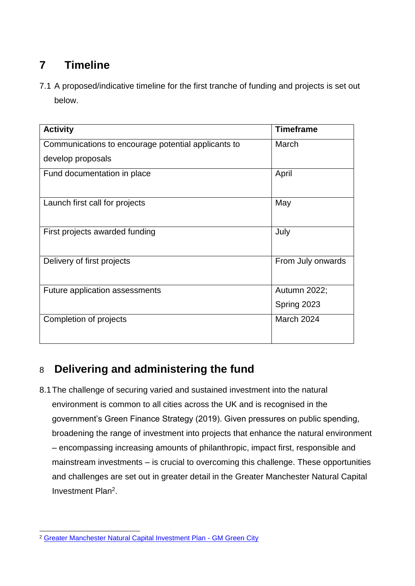## **7 Timeline**

7.1 A proposed/indicative timeline for the first tranche of funding and projects is set out below.

| <b>Activity</b>                                     | <b>Timeframe</b>  |
|-----------------------------------------------------|-------------------|
| Communications to encourage potential applicants to | March             |
| develop proposals                                   |                   |
| Fund documentation in place                         | April             |
| Launch first call for projects                      | May               |
| First projects awarded funding                      | July              |
| Delivery of first projects                          | From July onwards |
| Future application assessments                      | Autumn 2022;      |
|                                                     | Spring 2023       |
| Completion of projects                              | <b>March 2024</b> |

## 8 **Delivering and administering the fund**

8.1The challenge of securing varied and sustained investment into the natural environment is common to all cities across the UK and is recognised in the government's Green Finance Strategy (2019). Given pressures on public spending, broadening the range of investment into projects that enhance the natural environment – encompassing increasing amounts of philanthropic, impact first, responsible and mainstream investments – is crucial to overcoming this challenge. These opportunities and challenges are set out in greater detail in the Greater Manchester Natural Capital Investment Plan<sup>2</sup>.

<sup>-</sup><sup>2</sup> [Greater Manchester Natural Capital Investment Plan -](https://gmgreencity.com/greater-manchester-natural-capital-investment-plan/) GM Green City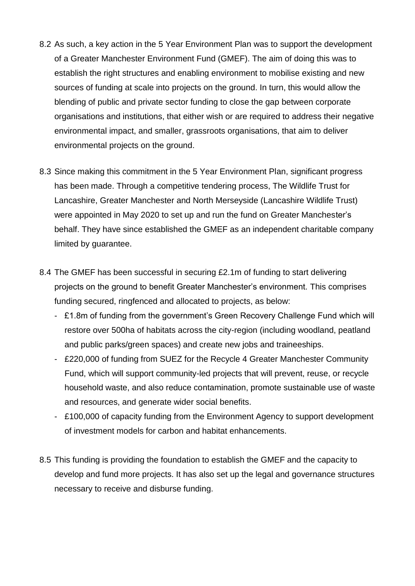- 8.2 As such, a key action in the 5 Year Environment Plan was to support the development of a Greater Manchester Environment Fund (GMEF). The aim of doing this was to establish the right structures and enabling environment to mobilise existing and new sources of funding at scale into projects on the ground. In turn, this would allow the blending of public and private sector funding to close the gap between corporate organisations and institutions, that either wish or are required to address their negative environmental impact, and smaller, grassroots organisations, that aim to deliver environmental projects on the ground.
- 8.3 Since making this commitment in the 5 Year Environment Plan, significant progress has been made. Through a competitive tendering process, The Wildlife Trust for Lancashire, Greater Manchester and North Merseyside (Lancashire Wildlife Trust) were appointed in May 2020 to set up and run the fund on Greater Manchester's behalf. They have since established the GMEF as an independent charitable company limited by guarantee.
- 8.4 The GMEF has been successful in securing £2.1m of funding to start delivering projects on the ground to benefit Greater Manchester's environment. This comprises funding secured, ringfenced and allocated to projects, as below:
	- £1.8m of funding from the government's Green Recovery Challenge Fund which will restore over 500ha of habitats across the city-region (including woodland, peatland and public parks/green spaces) and create new jobs and traineeships.
	- £220,000 of funding from SUEZ for the Recycle 4 Greater Manchester Community Fund, which will support community-led projects that will prevent, reuse, or recycle household waste, and also reduce contamination, promote sustainable use of waste and resources, and generate wider social benefits.
	- £100,000 of capacity funding from the Environment Agency to support development of investment models for carbon and habitat enhancements.
- 8.5 This funding is providing the foundation to establish the GMEF and the capacity to develop and fund more projects. It has also set up the legal and governance structures necessary to receive and disburse funding.